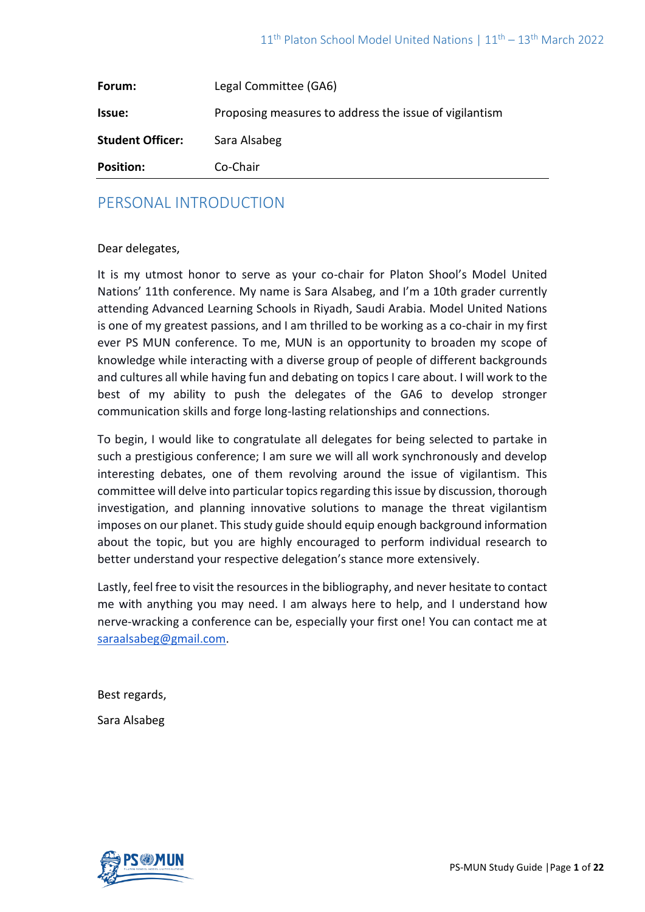| Forum:                  | Legal Committee (GA6)                                  |
|-------------------------|--------------------------------------------------------|
| Issue:                  | Proposing measures to address the issue of vigilantism |
| <b>Student Officer:</b> | Sara Alsabeg                                           |
| <b>Position:</b>        | Co-Chair                                               |

# PERSONAL INTRODUCTION

## Dear delegates,

It is my utmost honor to serve as your co-chair for Platon Shool's Model United Nations' 11th conference. My name is Sara Alsabeg, and I'm a 10th grader currently attending Advanced Learning Schools in Riyadh, Saudi Arabia. Model United Nations is one of my greatest passions, and I am thrilled to be working as a co-chair in my first ever PS MUN conference. To me, MUN is an opportunity to broaden my scope of knowledge while interacting with a diverse group of people of different backgrounds and cultures all while having fun and debating on topics I care about. I will work to the best of my ability to push the delegates of the GA6 to develop stronger communication skills and forge long-lasting relationships and connections.

To begin, I would like to congratulate all delegates for being selected to partake in such a prestigious conference; I am sure we will all work synchronously and develop interesting debates, one of them revolving around the issue of vigilantism. This committee will delve into particular topics regarding this issue by discussion, thorough investigation, and planning innovative solutions to manage the threat vigilantism imposes on our planet. This study guide should equip enough background information about the topic, but you are highly encouraged to perform individual research to better understand your respective delegation's stance more extensively.

Lastly, feel free to visit the resources in the bibliography, and never hesitate to contact me with anything you may need. I am always here to help, and I understand how nerve-wracking a conference can be, especially your first one! You can contact me at [saraalsabeg@gmail.com.](mailto:saraalsabeg@gmail.com)

Best regards,

Sara Alsabeg

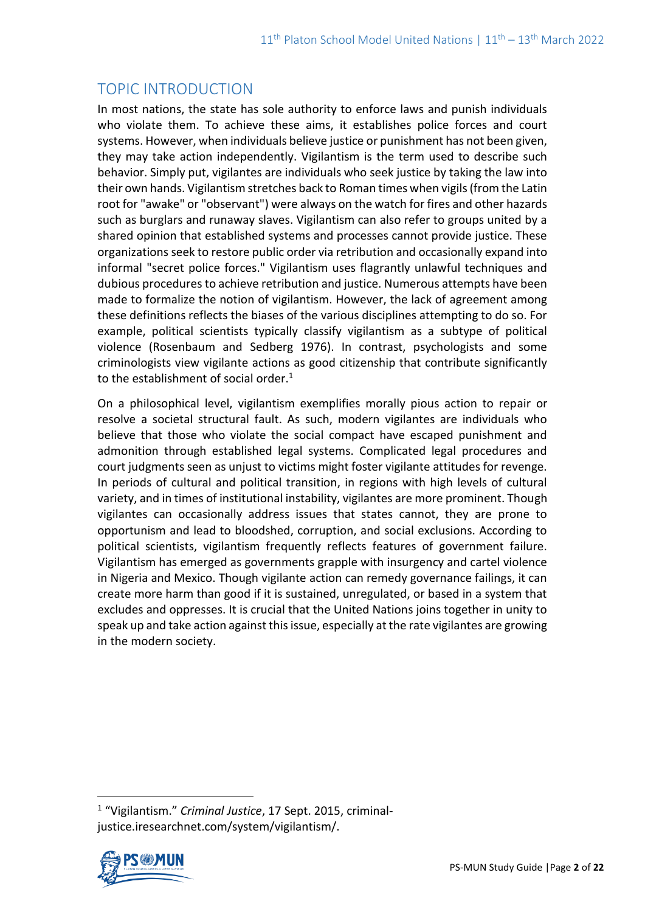# TOPIC INTRODUCTION

In most nations, the state has sole authority to enforce laws and punish individuals who violate them. To achieve these aims, it establishes police forces and court systems. However, when individuals believe justice or punishment has not been given, they may take action independently. Vigilantism is the term used to describe such behavior. Simply put, vigilantes are individuals who seek justice by taking the law into their own hands. Vigilantism stretches back to Roman times when vigils (from the Latin root for "awake" or "observant") were always on the watch for fires and other hazards such as burglars and runaway slaves. Vigilantism can also refer to groups united by a shared opinion that established systems and processes cannot provide justice. These organizations seek to restore public order via retribution and occasionally expand into informal "secret police forces." Vigilantism uses flagrantly unlawful techniques and dubious procedures to achieve retribution and justice. Numerous attempts have been made to formalize the notion of vigilantism. However, the lack of agreement among these definitions reflects the biases of the various disciplines attempting to do so. For example, political scientists typically classify vigilantism as a subtype of political violence (Rosenbaum and Sedberg 1976). In contrast, psychologists and some criminologists view vigilante actions as good citizenship that contribute significantly to the establishment of social order.<sup>1</sup>

On a philosophical level, vigilantism exemplifies morally pious action to repair or resolve a societal structural fault. As such, modern vigilantes are individuals who believe that those who violate the social compact have escaped punishment and admonition through established legal systems. Complicated legal procedures and court judgments seen as unjust to victims might foster vigilante attitudes for revenge. In periods of cultural and political transition, in regions with high levels of cultural variety, and in times of institutional instability, vigilantes are more prominent. Though vigilantes can occasionally address issues that states cannot, they are prone to opportunism and lead to bloodshed, corruption, and social exclusions. According to political scientists, vigilantism frequently reflects features of government failure. Vigilantism has emerged as governments grapple with insurgency and cartel violence in Nigeria and Mexico. Though vigilante action can remedy governance failings, it can create more harm than good if it is sustained, unregulated, or based in a system that excludes and oppresses. It is crucial that the United Nations joins together in unity to speak up and take action against this issue, especially at the rate vigilantes are growing in the modern society.

<sup>1</sup> "Vigilantism." *Criminal Justice*, 17 Sept. 2015, criminaljustice.iresearchnet.com/system/vigilantism/.

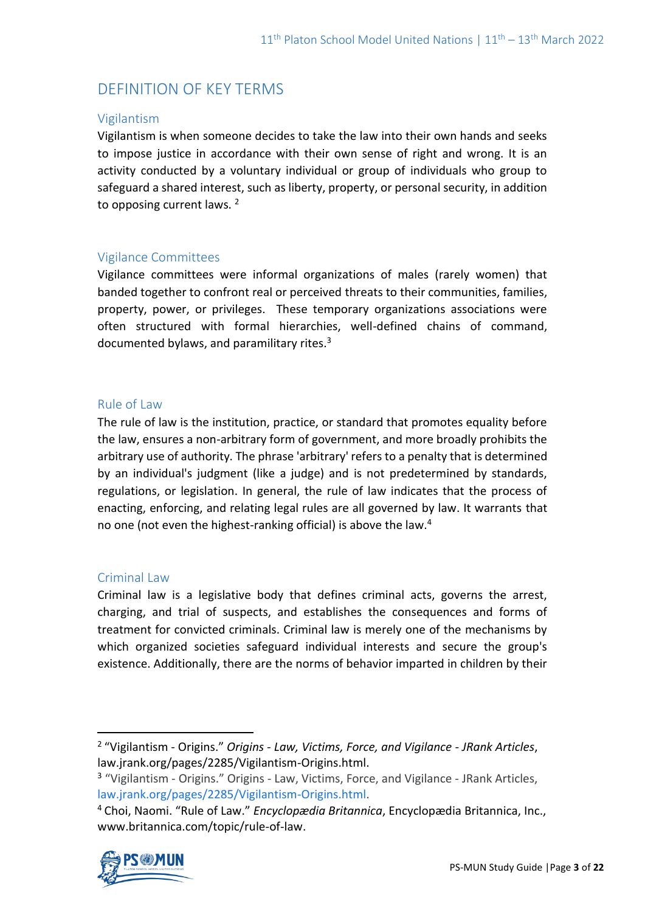# DEFINITION OF KEY TERMS

## Vigilantism

Vigilantism is when someone decides to take the law into their own hands and seeks to impose justice in accordance with their own sense of right and wrong. It is an activity conducted by a voluntary individual or group of individuals who group to safeguard a shared interest, such as liberty, property, or personal security, in addition to opposing current laws.<sup>2</sup>

## Vigilance Committees

Vigilance committees were informal organizations of males (rarely women) that banded together to confront real or perceived threats to their communities, families, property, power, or privileges. These temporary organizations associations were often structured with formal hierarchies, well-defined chains of command, documented bylaws, and paramilitary rites. $3$ 

#### Rule of Law

The rule of law is the institution, practice, or standard that promotes equality before the law, ensures a non-arbitrary form of government, and more broadly prohibits the arbitrary use of authority. The phrase 'arbitrary' refers to a penalty that is determined by an individual's judgment (like a judge) and is not predetermined by standards, regulations, or legislation. In general, the rule of law indicates that the process of enacting, enforcing, and relating legal rules are all governed by law. It warrants that no one (not even the highest-ranking official) is above the law.<sup>4</sup>

## Criminal Law

Criminal law is a legislative body that defines criminal acts, governs the arrest, charging, and trial of suspects, and establishes the consequences and forms of treatment for convicted criminals. Criminal law is merely one of the mechanisms by which organized societies safeguard individual interests and secure the group's existence. Additionally, there are the norms of behavior imparted in children by their

<sup>4</sup> Choi, Naomi. "Rule of Law." *Encyclopædia Britannica*, Encyclopædia Britannica, Inc., www.britannica.com/topic/rule-of-law.



<sup>2</sup> "Vigilantism - Origins." *Origins - Law, Victims, Force, and Vigilance - JRank Articles*, law.jrank.org/pages/2285/Vigilantism-Origins.html.

<sup>&</sup>lt;sup>3</sup> "Vigilantism - Origins." Origins - Law, Victims, Force, and Vigilance - JRank Articles, [law.jrank.org/pages/2285/Vigilantism-Origins.html.](http://law.jrank.org/pages/2285/Vigilantism-Origins.html)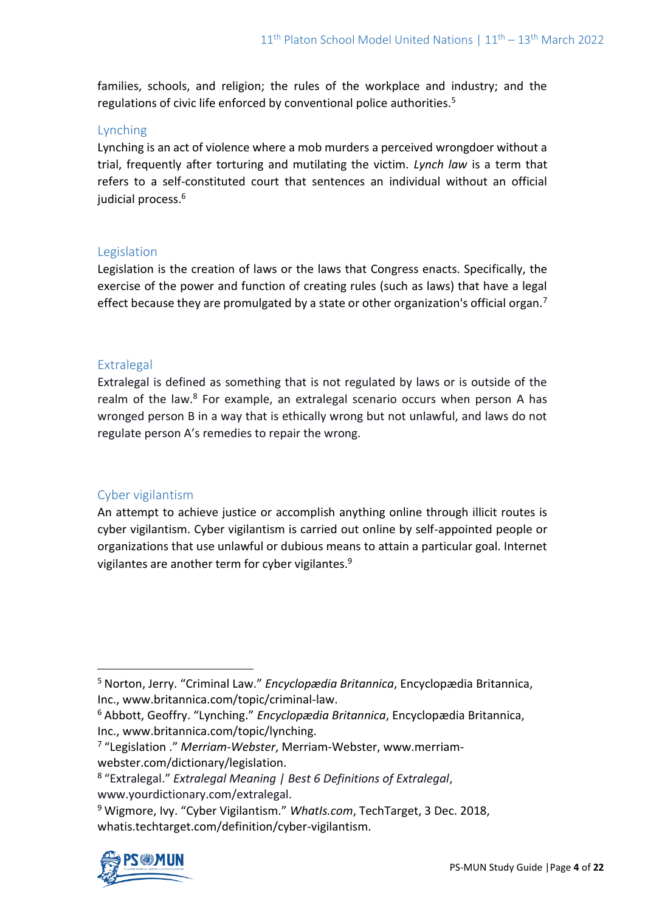families, schools, and religion; the rules of the workplace and industry; and the regulations of civic life enforced by conventional police authorities.<sup>5</sup>

## Lynching

Lynching is an act of violence where a mob murders a perceived wrongdoer without a trial, frequently after torturing and mutilating the victim. *Lynch law* is a term that refers to a self-constituted court that sentences an individual without an official judicial process.<sup>6</sup>

## **Legislation**

Legislation is the creation of laws or the laws that Congress enacts. Specifically, the exercise of the power and function of creating rules (such as laws) that have a legal effect because they are promulgated by a state or other organization's official organ.<sup>7</sup>

## **Extralegal**

Extralegal is defined as something that is not regulated by laws or is outside of the realm of the law.<sup>8</sup> For example, an extralegal scenario occurs when person A has wronged person B in a way that is ethically wrong but not unlawful, and laws do not regulate person A's remedies to repair the wrong.

## Cyber vigilantism

An attempt to achieve justice or accomplish anything online through illicit routes is cyber vigilantism. Cyber vigilantism is carried out online by self-appointed people or organizations that use unlawful or dubious means to attain a particular goal. Internet vigilantes are another term for cyber vigilantes.<sup>9</sup>

<sup>9</sup> Wigmore, Ivy. "Cyber Vigilantism." *WhatIs.com*, TechTarget, 3 Dec. 2018, whatis.techtarget.com/definition/cyber-vigilantism.



<sup>5</sup> Norton, Jerry. "Criminal Law." *Encyclopædia Britannica*, Encyclopædia Britannica, Inc., www.britannica.com/topic/criminal-law.

<sup>6</sup> Abbott, Geoffry. "Lynching." *Encyclopædia Britannica*, Encyclopædia Britannica, Inc., www.britannica.com/topic/lynching.

<sup>7</sup> "Legislation ." *Merriam-Webster*, Merriam-Webster, www.merriamwebster.com/dictionary/legislation.

<sup>8</sup> "Extralegal." *Extralegal Meaning | Best 6 Definitions of Extralegal*, www.yourdictionary.com/extralegal.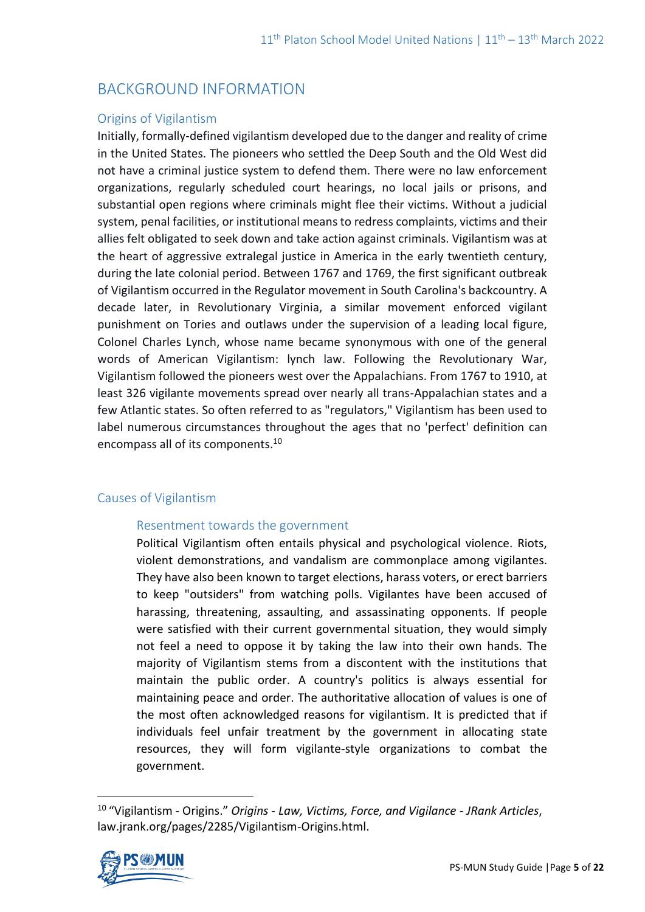# BACKGROUND INFORMATION

## Origins of Vigilantism

Initially, formally-defined vigilantism developed due to the danger and reality of crime in the United States. The pioneers who settled the Deep South and the Old West did not have a criminal justice system to defend them. There were no law enforcement organizations, regularly scheduled court hearings, no local jails or prisons, and substantial open regions where criminals might flee their victims. Without a judicial system, penal facilities, or institutional means to redress complaints, victims and their allies felt obligated to seek down and take action against criminals. Vigilantism was at the heart of aggressive extralegal justice in America in the early twentieth century, during the late colonial period. Between 1767 and 1769, the first significant outbreak of Vigilantism occurred in the Regulator movement in South Carolina's backcountry. A decade later, in Revolutionary Virginia, a similar movement enforced vigilant punishment on Tories and outlaws under the supervision of a leading local figure, Colonel Charles Lynch, whose name became synonymous with one of the general words of American Vigilantism: lynch law. Following the Revolutionary War, Vigilantism followed the pioneers west over the Appalachians. From 1767 to 1910, at least 326 vigilante movements spread over nearly all trans-Appalachian states and a few Atlantic states. So often referred to as "regulators," Vigilantism has been used to label numerous circumstances throughout the ages that no 'perfect' definition can encompass all of its components.<sup>10</sup>

## Causes of Vigilantism

#### Resentment towards the government

Political Vigilantism often entails physical and psychological violence. Riots, violent demonstrations, and vandalism are commonplace among vigilantes. They have also been known to target elections, harass voters, or erect barriers to keep "outsiders" from watching polls. Vigilantes have been accused of harassing, threatening, assaulting, and assassinating opponents. If people were satisfied with their current governmental situation, they would simply not feel a need to oppose it by taking the law into their own hands. The majority of Vigilantism stems from a discontent with the institutions that maintain the public order. A country's politics is always essential for maintaining peace and order. The authoritative allocation of values is one of the most often acknowledged reasons for vigilantism. It is predicted that if individuals feel unfair treatment by the government in allocating state resources, they will form vigilante-style organizations to combat the government.

<sup>10</sup> "Vigilantism - Origins." *Origins - Law, Victims, Force, and Vigilance - JRank Articles*, law.jrank.org/pages/2285/Vigilantism-Origins.html.

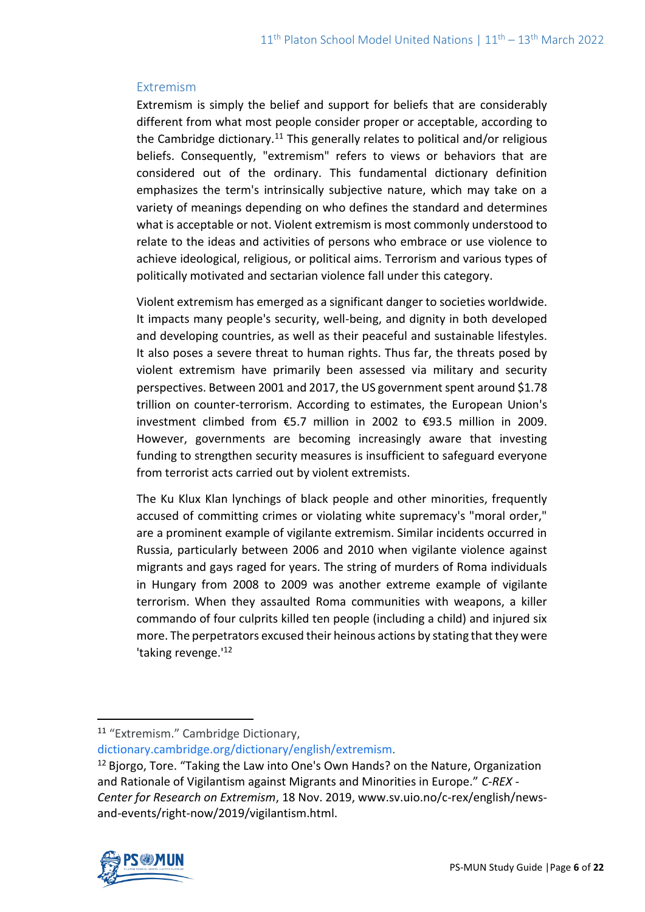## Extremism

Extremism is simply the belief and support for beliefs that are considerably different from what most people consider proper or acceptable, according to the Cambridge dictionary.<sup>11</sup> This generally relates to political and/or religious beliefs. Consequently, "extremism" refers to views or behaviors that are considered out of the ordinary. This fundamental dictionary definition emphasizes the term's intrinsically subjective nature, which may take on a variety of meanings depending on who defines the standard and determines what is acceptable or not. Violent extremism is most commonly understood to relate to the ideas and activities of persons who embrace or use violence to achieve ideological, religious, or political aims. Terrorism and various types of politically motivated and sectarian violence fall under this category.

Violent extremism has emerged as a significant danger to societies worldwide. It impacts many people's security, well-being, and dignity in both developed and developing countries, as well as their peaceful and sustainable lifestyles. It also poses a severe threat to human rights. Thus far, the threats posed by violent extremism have primarily been assessed via military and security perspectives. Between 2001 and 2017, the US government spent around \$1.78 trillion on counter-terrorism. According to estimates, the European Union's investment climbed from €5.7 million in 2002 to €93.5 million in 2009. However, governments are becoming increasingly aware that investing funding to strengthen security measures is insufficient to safeguard everyone from terrorist acts carried out by violent extremists.

The Ku Klux Klan lynchings of black people and other minorities, frequently accused of committing crimes or violating white supremacy's "moral order," are a prominent example of vigilante extremism. Similar incidents occurred in Russia, particularly between 2006 and 2010 when vigilante violence against migrants and gays raged for years. The string of murders of Roma individuals in Hungary from 2008 to 2009 was another extreme example of vigilante terrorism. When they assaulted Roma communities with weapons, a killer commando of four culprits killed ten people (including a child) and injured six more. The perpetrators excused their heinous actions by stating that they were 'taking revenge.<sup>'12</sup>

[dictionary.cambridge.org/dictionary/english/extremism.](http://dictionary.cambridge.org/dictionary/english/extremism)

 $12$  Bjorgo, Tore. "Taking the Law into One's Own Hands? on the Nature, Organization and Rationale of Vigilantism against Migrants and Minorities in Europe." *C-REX - Center for Research on Extremism*, 18 Nov. 2019, www.sv.uio.no/c-rex/english/newsand-events/right-now/2019/vigilantism.html.



<sup>11</sup> "Extremism." Cambridge Dictionary,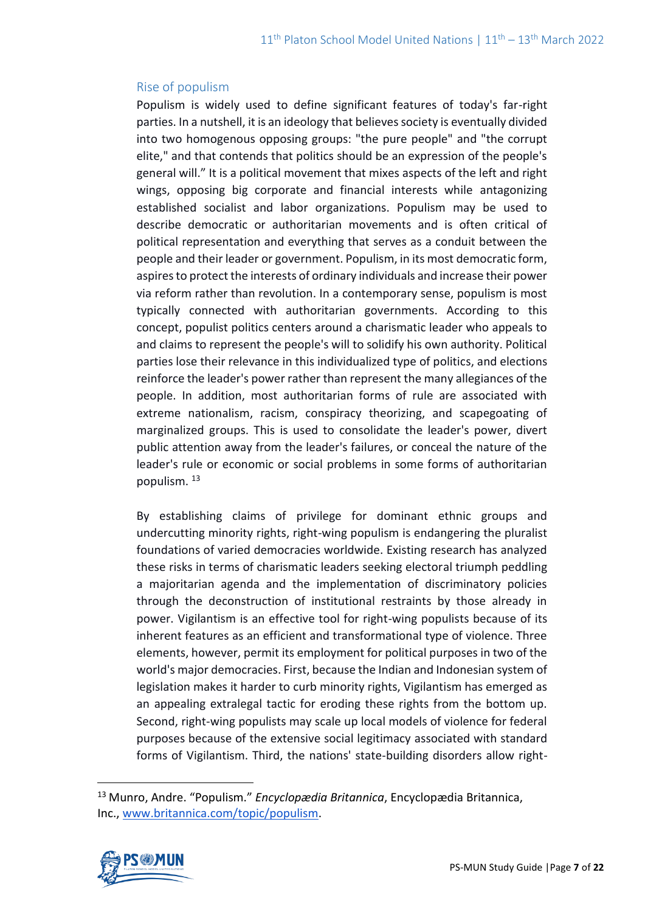### Rise of populism

Populism is widely used to define significant features of today's far-right parties. In a nutshell, it is an ideology that believes society is eventually divided into two homogenous opposing groups: "the pure people" and "the corrupt elite," and that contends that politics should be an expression of the people's general will." It is a political movement that mixes aspects of the left and right wings, opposing big corporate and financial interests while antagonizing established socialist and labor organizations. Populism may be used to describe democratic or authoritarian movements and is often critical of political representation and everything that serves as a conduit between the people and their leader or government. Populism, in its most democratic form, aspires to protect the interests of ordinary individuals and increase their power via reform rather than revolution. In a contemporary sense, populism is most typically connected with authoritarian governments. According to this concept, populist politics centers around a charismatic leader who appeals to and claims to represent the people's will to solidify his own authority. Political parties lose their relevance in this individualized type of politics, and elections reinforce the leader's power rather than represent the many allegiances of the people. In addition, most authoritarian forms of rule are associated with extreme nationalism, racism, conspiracy theorizing, and scapegoating of marginalized groups. This is used to consolidate the leader's power, divert public attention away from the leader's failures, or conceal the nature of the leader's rule or economic or social problems in some forms of authoritarian populism. <sup>13</sup>

By establishing claims of privilege for dominant ethnic groups and undercutting minority rights, right-wing populism is endangering the pluralist foundations of varied democracies worldwide. Existing research has analyzed these risks in terms of charismatic leaders seeking electoral triumph peddling a majoritarian agenda and the implementation of discriminatory policies through the deconstruction of institutional restraints by those already in power. Vigilantism is an effective tool for right-wing populists because of its inherent features as an efficient and transformational type of violence. Three elements, however, permit its employment for political purposes in two of the world's major democracies. First, because the Indian and Indonesian system of legislation makes it harder to curb minority rights, Vigilantism has emerged as an appealing extralegal tactic for eroding these rights from the bottom up. Second, right-wing populists may scale up local models of violence for federal purposes because of the extensive social legitimacy associated with standard forms of Vigilantism. Third, the nations' state-building disorders allow right-

<sup>13</sup> Munro, Andre. "Populism." *Encyclopædia Britannica*, Encyclopædia Britannica, Inc., [www.britannica.com/topic/populism.](http://www.britannica.com/topic/populism)

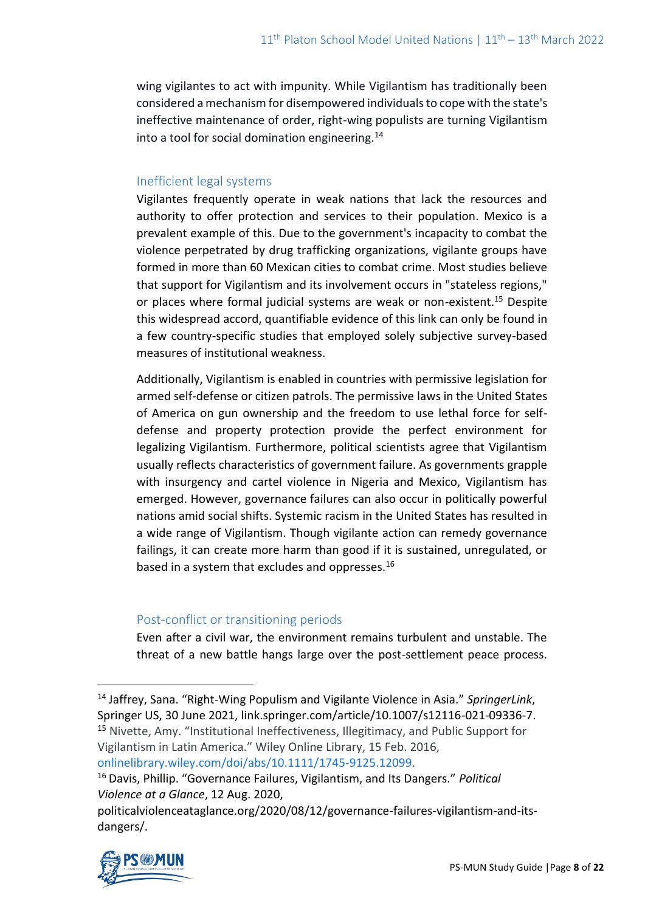wing vigilantes to act with impunity. While Vigilantism has traditionally been considered a mechanism for disempowered individuals to cope with the state's ineffective maintenance of order, right-wing populists are turning Vigilantism into a tool for social domination engineering.<sup>14</sup>

## Inefficient legal systems

Vigilantes frequently operate in weak nations that lack the resources and authority to offer protection and services to their population. Mexico is a prevalent example of this. Due to the government's incapacity to combat the violence perpetrated by drug trafficking organizations, vigilante groups have formed in more than 60 Mexican cities to combat crime. Most studies believe that support for Vigilantism and its involvement occurs in "stateless regions," or places where formal judicial systems are weak or non-existent.<sup>15</sup> Despite this widespread accord, quantifiable evidence of this link can only be found in a few country-specific studies that employed solely subjective survey-based measures of institutional weakness.

Additionally, Vigilantism is enabled in countries with permissive legislation for armed self-defense or citizen patrols. The permissive laws in the United States of America on gun ownership and the freedom to use lethal force for selfdefense and property protection provide the perfect environment for legalizing Vigilantism. Furthermore, political scientists agree that Vigilantism usually reflects characteristics of government failure. As governments grapple with insurgency and cartel violence in Nigeria and Mexico, Vigilantism has emerged. However, governance failures can also occur in politically powerful nations amid social shifts. Systemic racism in the United States has resulted in a wide range of Vigilantism. Though vigilante action can remedy governance failings, it can create more harm than good if it is sustained, unregulated, or based in a system that excludes and oppresses.<sup>16</sup>

## Post-conflict or transitioning periods

Even after a civil war, the environment remains turbulent and unstable. The threat of a new battle hangs large over the post-settlement peace process.

politicalviolenceataglance.org/2020/08/12/governance-failures-vigilantism-and-itsdangers/.



<sup>14</sup> Jaffrey, Sana. "Right-Wing Populism and Vigilante Violence in Asia." *SpringerLink*, Springer US, 30 June 2021, link.springer.com/article/10.1007/s12116-021-09336-7. <sup>15</sup> Nivette, Amy. "Institutional Ineffectiveness, Illegitimacy, and Public Support for Vigilantism in Latin America." Wiley Online Library, 15 Feb. 2016, [onlinelibrary.wiley.com/doi/abs/10.1111/1745-9125.12099.](http://onlinelibrary.wiley.com/doi/abs/10.1111/1745-9125.12099)

<sup>16</sup> Davis, Phillip. "Governance Failures, Vigilantism, and Its Dangers." *Political Violence at a Glance*, 12 Aug. 2020,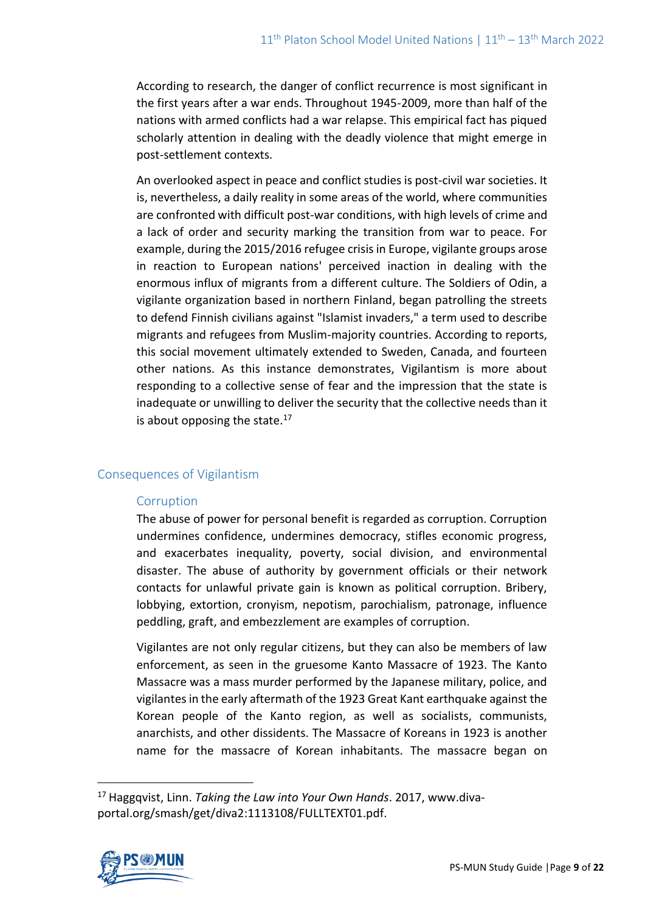According to research, the danger of conflict recurrence is most significant in the first years after a war ends. Throughout 1945-2009, more than half of the nations with armed conflicts had a war relapse. This empirical fact has piqued scholarly attention in dealing with the deadly violence that might emerge in post-settlement contexts.

An overlooked aspect in peace and conflict studies is post-civil war societies. It is, nevertheless, a daily reality in some areas of the world, where communities are confronted with difficult post-war conditions, with high levels of crime and a lack of order and security marking the transition from war to peace. For example, during the 2015/2016 refugee crisis in Europe, vigilante groups arose in reaction to European nations' perceived inaction in dealing with the enormous influx of migrants from a different culture. The Soldiers of Odin, a vigilante organization based in northern Finland, began patrolling the streets to defend Finnish civilians against "Islamist invaders," a term used to describe migrants and refugees from Muslim-majority countries. According to reports, this social movement ultimately extended to Sweden, Canada, and fourteen other nations. As this instance demonstrates, Vigilantism is more about responding to a collective sense of fear and the impression that the state is inadequate or unwilling to deliver the security that the collective needs than it is about opposing the state. $17$ 

## Consequences of Vigilantism

## Corruption

The abuse of power for personal benefit is regarded as corruption. Corruption undermines confidence, undermines democracy, stifles economic progress, and exacerbates inequality, poverty, social division, and environmental disaster. The abuse of authority by government officials or their network contacts for unlawful private gain is known as political corruption. Bribery, lobbying, extortion, cronyism, nepotism, parochialism, patronage, influence peddling, graft, and embezzlement are examples of corruption.

Vigilantes are not only regular citizens, but they can also be members of law enforcement, as seen in the gruesome Kanto Massacre of 1923. The Kanto Massacre was a mass murder performed by the Japanese military, police, and vigilantes in the early aftermath of the 1923 Great Kant earthquake against the Korean people of the Kanto region, as well as socialists, communists, anarchists, and other dissidents. The Massacre of Koreans in 1923 is another name for the massacre of Korean inhabitants. The massacre began on

<sup>17</sup> Haggqvist, Linn. *Taking the Law into Your Own Hands*. 2017, www.divaportal.org/smash/get/diva2:1113108/FULLTEXT01.pdf.

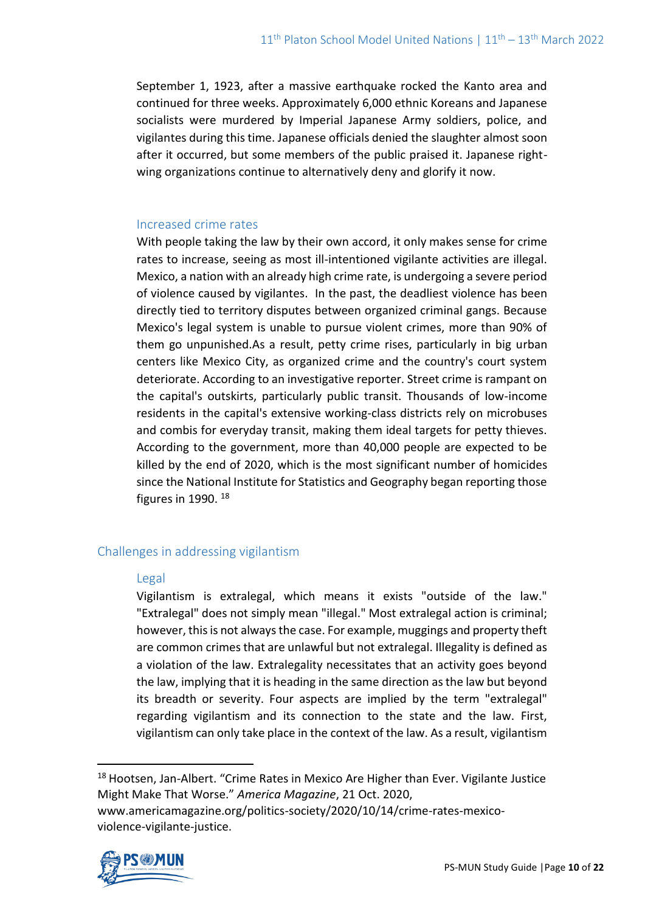September 1, 1923, after a massive earthquake rocked the Kanto area and continued for three weeks. Approximately 6,000 ethnic Koreans and Japanese socialists were murdered by Imperial Japanese Army soldiers, police, and vigilantes during this time. Japanese officials denied the slaughter almost soon after it occurred, but some members of the public praised it. Japanese rightwing organizations continue to alternatively deny and glorify it now.

### Increased crime rates

With people taking the law by their own accord, it only makes sense for crime rates to increase, seeing as most ill-intentioned vigilante activities are illegal. Mexico, a nation with an already high crime rate, is undergoing a severe period of violence caused by vigilantes. In the past, the deadliest violence has been directly tied to territory disputes between organized criminal gangs. Because Mexico's legal system is unable to pursue violent crimes, more than 90% of them go unpunished.As a result, petty crime rises, particularly in big urban centers like Mexico City, as organized crime and the country's court system deteriorate. According to an investigative reporter. Street crime is rampant on the capital's outskirts, particularly public transit. Thousands of low-income residents in the capital's extensive working-class districts rely on microbuses and combis for everyday transit, making them ideal targets for petty thieves. According to the government, more than 40,000 people are expected to be killed by the end of 2020, which is the most significant number of homicides since the National Institute for Statistics and Geography began reporting those figures in 1990.  $18$ 

## Challenges in addressing vigilantism

#### Legal

Vigilantism is extralegal, which means it exists "outside of the law." "Extralegal" does not simply mean "illegal." Most extralegal action is criminal; however, this is not always the case. For example, muggings and property theft are common crimes that are unlawful but not extralegal. Illegality is defined as a violation of the law. Extralegality necessitates that an activity goes beyond the law, implying that it is heading in the same direction as the law but beyond its breadth or severity. Four aspects are implied by the term "extralegal" regarding vigilantism and its connection to the state and the law. First, vigilantism can only take place in the context of the law. As a result, vigilantism

<sup>18</sup> Hootsen, Jan-Albert. "Crime Rates in Mexico Are Higher than Ever. Vigilante Justice Might Make That Worse." *America Magazine*, 21 Oct. 2020, www.americamagazine.org/politics-society/2020/10/14/crime-rates-mexicoviolence-vigilante-justice.

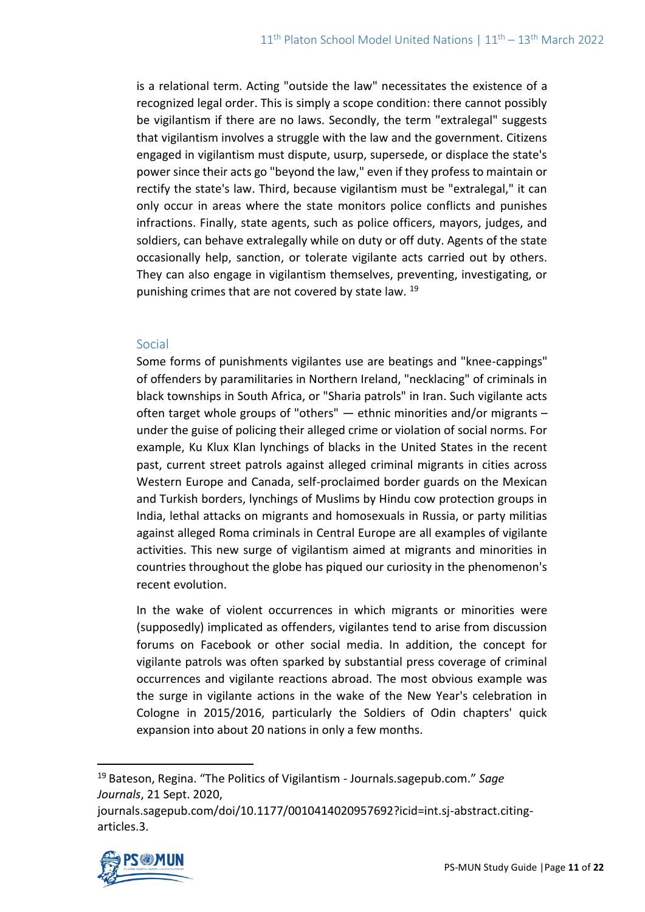is a relational term. Acting "outside the law" necessitates the existence of a recognized legal order. This is simply a scope condition: there cannot possibly be vigilantism if there are no laws. Secondly, the term "extralegal" suggests that vigilantism involves a struggle with the law and the government. Citizens engaged in vigilantism must dispute, usurp, supersede, or displace the state's power since their acts go "beyond the law," even if they profess to maintain or rectify the state's law. Third, because vigilantism must be "extralegal," it can only occur in areas where the state monitors police conflicts and punishes infractions. Finally, state agents, such as police officers, mayors, judges, and soldiers, can behave extralegally while on duty or off duty. Agents of the state occasionally help, sanction, or tolerate vigilante acts carried out by others. They can also engage in vigilantism themselves, preventing, investigating, or punishing crimes that are not covered by state law. <sup>19</sup>

#### Social

Some forms of punishments vigilantes use are beatings and "knee-cappings" of offenders by paramilitaries in Northern Ireland, "necklacing" of criminals in black townships in South Africa, or "Sharia patrols" in Iran. Such vigilante acts often target whole groups of "others" — ethnic minorities and/or migrants – under the guise of policing their alleged crime or violation of social norms. For example, Ku Klux Klan lynchings of blacks in the United States in the recent past, current street patrols against alleged criminal migrants in cities across Western Europe and Canada, self-proclaimed border guards on the Mexican and Turkish borders, lynchings of Muslims by Hindu cow protection groups in India, lethal attacks on migrants and homosexuals in Russia, or party militias against alleged Roma criminals in Central Europe are all examples of vigilante activities. This new surge of vigilantism aimed at migrants and minorities in countries throughout the globe has piqued our curiosity in the phenomenon's recent evolution.

In the wake of violent occurrences in which migrants or minorities were (supposedly) implicated as offenders, vigilantes tend to arise from discussion forums on Facebook or other social media. In addition, the concept for vigilante patrols was often sparked by substantial press coverage of criminal occurrences and vigilante reactions abroad. The most obvious example was the surge in vigilante actions in the wake of the New Year's celebration in Cologne in 2015/2016, particularly the Soldiers of Odin chapters' quick expansion into about 20 nations in only a few months.

journals.sagepub.com/doi/10.1177/0010414020957692?icid=int.sj-abstract.citingarticles.3.



<sup>19</sup> Bateson, Regina. "The Politics of Vigilantism - Journals.sagepub.com." *Sage Journals*, 21 Sept. 2020,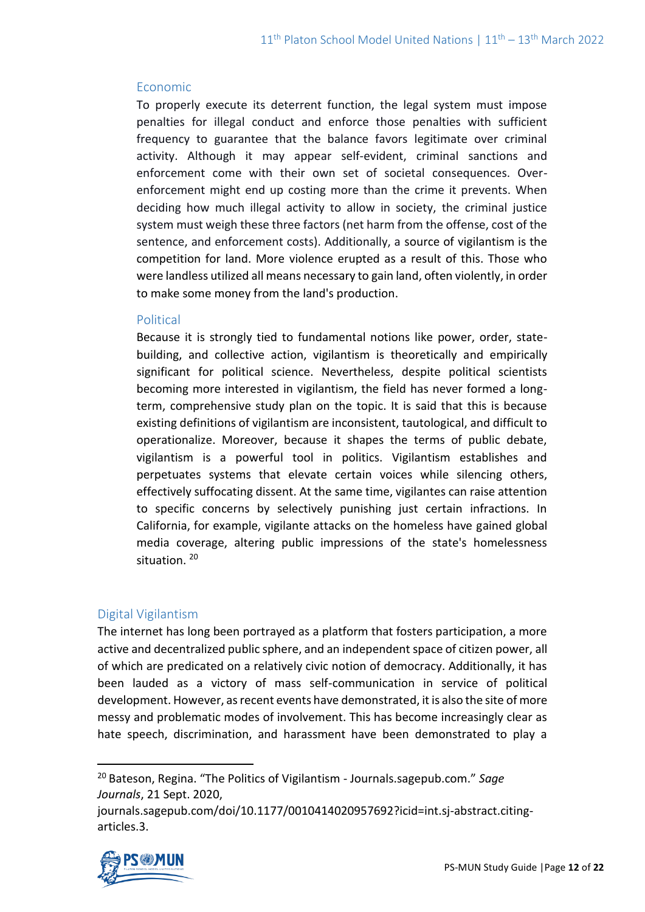## Economic

To properly execute its deterrent function, the legal system must impose penalties for illegal conduct and enforce those penalties with sufficient frequency to guarantee that the balance favors legitimate over criminal activity. Although it may appear self-evident, criminal sanctions and enforcement come with their own set of societal consequences. Overenforcement might end up costing more than the crime it prevents. When deciding how much illegal activity to allow in society, the criminal justice system must weigh these three factors (net harm from the offense, cost of the sentence, and enforcement costs). Additionally, a source of vigilantism is the competition for land. More violence erupted as a result of this. Those who were landless utilized all means necessary to gain land, often violently, in order to make some money from the land's production.

## Political

Because it is strongly tied to fundamental notions like power, order, statebuilding, and collective action, vigilantism is theoretically and empirically significant for political science. Nevertheless, despite political scientists becoming more interested in vigilantism, the field has never formed a longterm, comprehensive study plan on the topic. It is said that this is because existing definitions of vigilantism are inconsistent, tautological, and difficult to operationalize. Moreover, because it shapes the terms of public debate, vigilantism is a powerful tool in politics. Vigilantism establishes and perpetuates systems that elevate certain voices while silencing others, effectively suffocating dissent. At the same time, vigilantes can raise attention to specific concerns by selectively punishing just certain infractions. In California, for example, vigilante attacks on the homeless have gained global media coverage, altering public impressions of the state's homelessness situation. <sup>20</sup>

## Digital Vigilantism

The internet has long been portrayed as a platform that fosters participation, a more active and decentralized public sphere, and an independent space of citizen power, all of which are predicated on a relatively civic notion of democracy. Additionally, it has been lauded as a victory of mass self-communication in service of political development. However, as recent events have demonstrated, it is also the site of more messy and problematic modes of involvement. This has become increasingly clear as hate speech, discrimination, and harassment have been demonstrated to play a

journals.sagepub.com/doi/10.1177/0010414020957692?icid=int.sj-abstract.citingarticles.3.



<sup>20</sup> Bateson, Regina. "The Politics of Vigilantism - Journals.sagepub.com." *Sage Journals*, 21 Sept. 2020,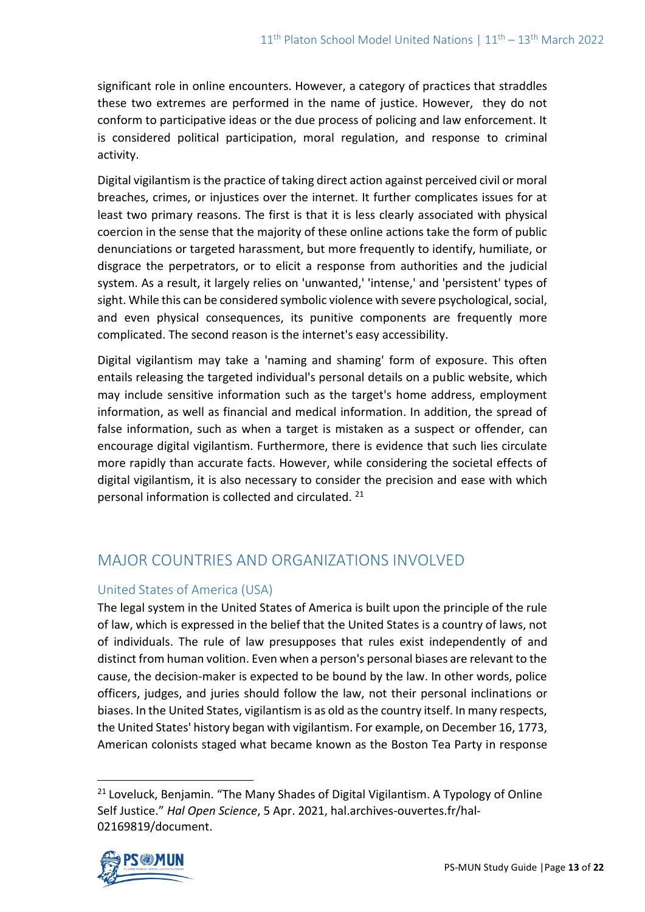significant role in online encounters. However, a category of practices that straddles these two extremes are performed in the name of justice. However, they do not conform to participative ideas or the due process of policing and law enforcement. It is considered political participation, moral regulation, and response to criminal activity.

Digital vigilantism is the practice of taking direct action against perceived civil or moral breaches, crimes, or injustices over the internet. It further complicates issues for at least two primary reasons. The first is that it is less clearly associated with physical coercion in the sense that the majority of these online actions take the form of public denunciations or targeted harassment, but more frequently to identify, humiliate, or disgrace the perpetrators, or to elicit a response from authorities and the judicial system. As a result, it largely relies on 'unwanted,' 'intense,' and 'persistent' types of sight. While this can be considered symbolic violence with severe psychological, social, and even physical consequences, its punitive components are frequently more complicated. The second reason is the internet's easy accessibility.

Digital vigilantism may take a 'naming and shaming' form of exposure. This often entails releasing the targeted individual's personal details on a public website, which may include sensitive information such as the target's home address, employment information, as well as financial and medical information. In addition, the spread of false information, such as when a target is mistaken as a suspect or offender, can encourage digital vigilantism. Furthermore, there is evidence that such lies circulate more rapidly than accurate facts. However, while considering the societal effects of digital vigilantism, it is also necessary to consider the precision and ease with which personal information is collected and circulated. <sup>21</sup>

# MAJOR COUNTRIES AND ORGANIZATIONS INVOLVED

## United States of America (USA)

The legal system in the United States of America is built upon the principle of the rule of law, which is expressed in the belief that the United States is a country of laws, not of individuals. The rule of law presupposes that rules exist independently of and distinct from human volition. Even when a person's personal biases are relevant to the cause, the decision-maker is expected to be bound by the law. In other words, police officers, judges, and juries should follow the law, not their personal inclinations or biases. In the United States, vigilantism is as old as the country itself. In many respects, the United States' history began with vigilantism. For example, on December 16, 1773, American colonists staged what became known as the Boston Tea Party in response

<sup>&</sup>lt;sup>21</sup> Loveluck, Benjamin. "The Many Shades of Digital Vigilantism. A Typology of Online Self Justice." *Hal Open Science*, 5 Apr. 2021, hal.archives-ouvertes.fr/hal-02169819/document.

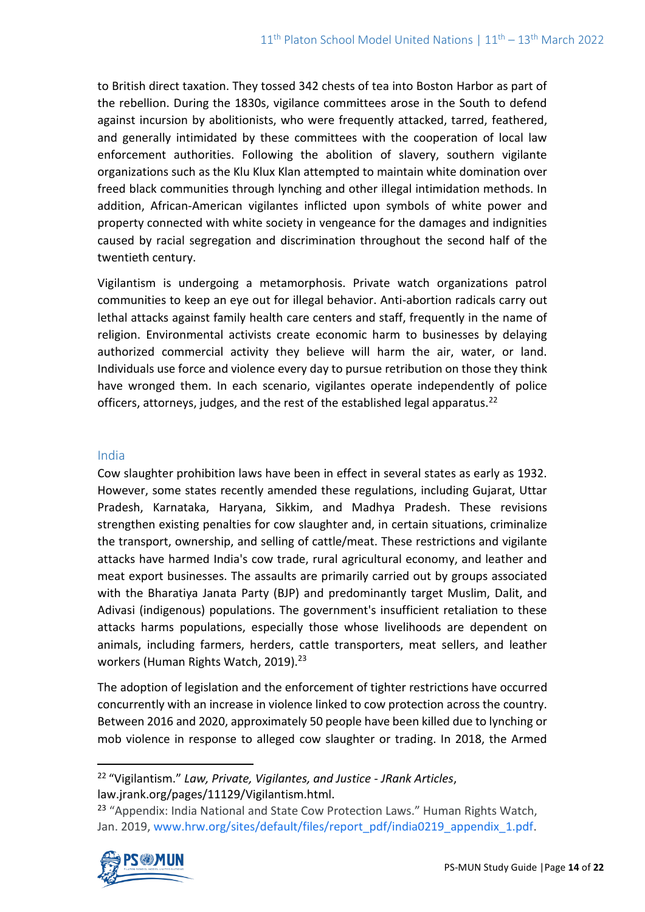to British direct taxation. They tossed 342 chests of tea into Boston Harbor as part of the rebellion. During the 1830s, vigilance committees arose in the South to defend against incursion by abolitionists, who were frequently attacked, tarred, feathered, and generally intimidated by these committees with the cooperation of local law enforcement authorities. Following the abolition of slavery, southern vigilante organizations such as the Klu Klux Klan attempted to maintain white domination over freed black communities through lynching and other illegal intimidation methods. In addition, African-American vigilantes inflicted upon symbols of white power and property connected with white society in vengeance for the damages and indignities caused by racial segregation and discrimination throughout the second half of the twentieth century.

Vigilantism is undergoing a metamorphosis. Private watch organizations patrol communities to keep an eye out for illegal behavior. Anti-abortion radicals carry out lethal attacks against family health care centers and staff, frequently in the name of religion. Environmental activists create economic harm to businesses by delaying authorized commercial activity they believe will harm the air, water, or land. Individuals use force and violence every day to pursue retribution on those they think have wronged them. In each scenario, vigilantes operate independently of police officers, attorneys, judges, and the rest of the established legal apparatus.<sup>22</sup>

## India

Cow slaughter prohibition laws have been in effect in several states as early as 1932. However, some states recently amended these regulations, including Gujarat, Uttar Pradesh, Karnataka, Haryana, Sikkim, and Madhya Pradesh. These revisions strengthen existing penalties for cow slaughter and, in certain situations, criminalize the transport, ownership, and selling of cattle/meat. These restrictions and vigilante attacks have harmed India's cow trade, rural agricultural economy, and leather and meat export businesses. The assaults are primarily carried out by groups associated with the Bharatiya Janata Party (BJP) and predominantly target Muslim, Dalit, and Adivasi (indigenous) populations. The government's insufficient retaliation to these attacks harms populations, especially those whose livelihoods are dependent on animals, including farmers, herders, cattle transporters, meat sellers, and leather workers (Human Rights Watch, 2019).<sup>23</sup>

The adoption of legislation and the enforcement of tighter restrictions have occurred concurrently with an increase in violence linked to cow protection across the country. Between 2016 and 2020, approximately 50 people have been killed due to lynching or mob violence in response to alleged cow slaughter or trading. In 2018, the Armed

<sup>&</sup>lt;sup>23</sup> "Appendix: India National and State Cow Protection Laws." Human Rights Watch, Jan. 2019[, www.hrw.org/sites/default/files/report\\_pdf/india0219\\_appendix\\_1.pdf.](http://www.hrw.org/sites/default/files/report_pdf/india0219_appendix_1.pdf)



<sup>22</sup> "Vigilantism." *Law, Private, Vigilantes, and Justice - JRank Articles*, law.jrank.org/pages/11129/Vigilantism.html.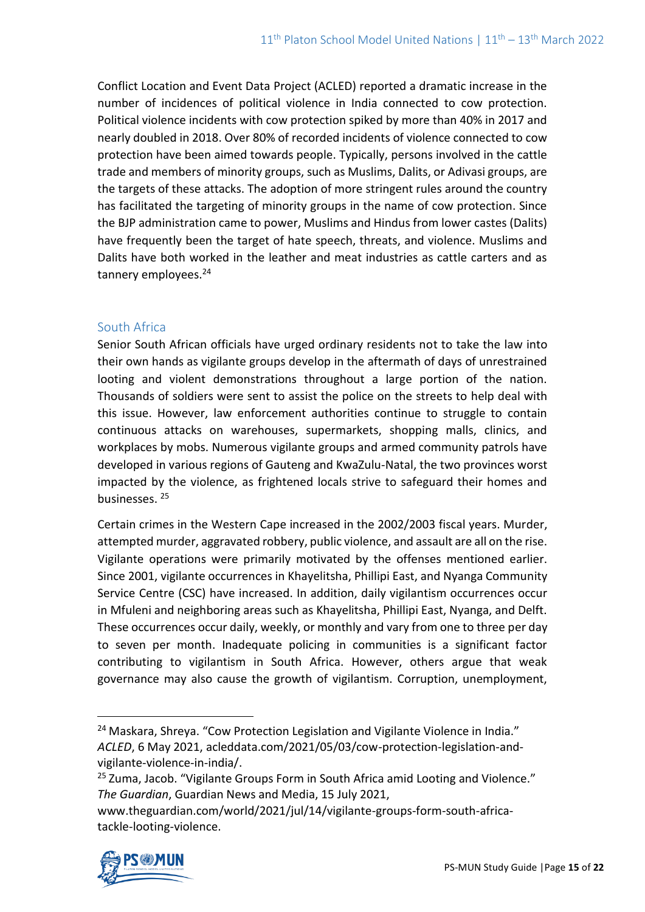Conflict Location and Event Data Project (ACLED) reported a dramatic increase in the number of incidences of political violence in India connected to cow protection. Political violence incidents with cow protection spiked by more than 40% in 2017 and nearly doubled in 2018. Over 80% of recorded incidents of violence connected to cow protection have been aimed towards people. Typically, persons involved in the cattle trade and members of minority groups, such as Muslims, Dalits, or Adivasi groups, are the targets of these attacks. The adoption of more stringent rules around the country has facilitated the targeting of minority groups in the name of cow protection. Since the BJP administration came to power, Muslims and Hindus from lower castes (Dalits) have frequently been the target of hate speech, threats, and violence. Muslims and Dalits have both worked in the leather and meat industries as cattle carters and as tannery employees.<sup>24</sup>

## South Africa

Senior South African officials have urged ordinary residents not to take the law into their own hands as vigilante groups develop in the aftermath of days of unrestrained looting and violent demonstrations throughout a large portion of the nation. Thousands of soldiers were sent to assist the police on the streets to help deal with this issue. However, law enforcement authorities continue to struggle to contain continuous attacks on warehouses, supermarkets, shopping malls, clinics, and workplaces by mobs. Numerous vigilante groups and armed community patrols have developed in various regions of Gauteng and KwaZulu-Natal, the two provinces worst impacted by the violence, as frightened locals strive to safeguard their homes and businesses. <sup>25</sup>

Certain crimes in the Western Cape increased in the 2002/2003 fiscal years. Murder, attempted murder, aggravated robbery, public violence, and assault are all on the rise. Vigilante operations were primarily motivated by the offenses mentioned earlier. Since 2001, vigilante occurrences in Khayelitsha, Phillipi East, and Nyanga Community Service Centre (CSC) have increased. In addition, daily vigilantism occurrences occur in Mfuleni and neighboring areas such as Khayelitsha, Phillipi East, Nyanga, and Delft. These occurrences occur daily, weekly, or monthly and vary from one to three per day to seven per month. Inadequate policing in communities is a significant factor contributing to vigilantism in South Africa. However, others argue that weak governance may also cause the growth of vigilantism. Corruption, unemployment,

www.theguardian.com/world/2021/jul/14/vigilante-groups-form-south-africatackle-looting-violence.



<sup>&</sup>lt;sup>24</sup> Maskara, Shreya. "Cow Protection Legislation and Vigilante Violence in India." *ACLED*, 6 May 2021, acleddata.com/2021/05/03/cow-protection-legislation-andvigilante-violence-in-india/.

<sup>&</sup>lt;sup>25</sup> Zuma, Jacob. "Vigilante Groups Form in South Africa amid Looting and Violence." *The Guardian*, Guardian News and Media, 15 July 2021,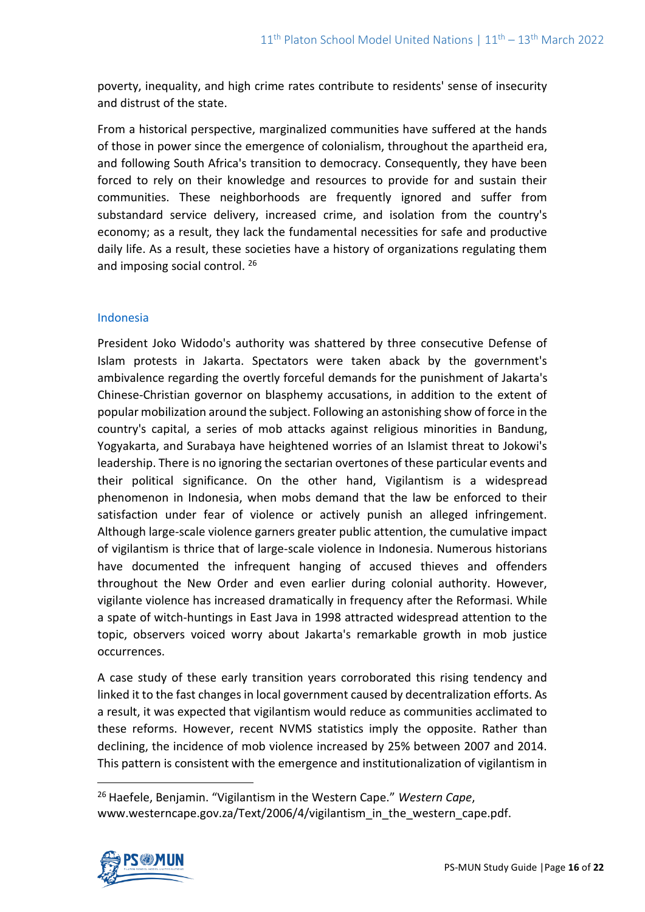poverty, inequality, and high crime rates contribute to residents' sense of insecurity and distrust of the state.

From a historical perspective, marginalized communities have suffered at the hands of those in power since the emergence of colonialism, throughout the apartheid era, and following South Africa's transition to democracy. Consequently, they have been forced to rely on their knowledge and resources to provide for and sustain their communities. These neighborhoods are frequently ignored and suffer from substandard service delivery, increased crime, and isolation from the country's economy; as a result, they lack the fundamental necessities for safe and productive daily life. As a result, these societies have a history of organizations regulating them and imposing social control. <sup>26</sup>

## Indonesia

President Joko Widodo's authority was shattered by three consecutive Defense of Islam protests in Jakarta. Spectators were taken aback by the government's ambivalence regarding the overtly forceful demands for the punishment of Jakarta's Chinese-Christian governor on blasphemy accusations, in addition to the extent of popular mobilization around the subject. Following an astonishing show of force in the country's capital, a series of mob attacks against religious minorities in Bandung, Yogyakarta, and Surabaya have heightened worries of an Islamist threat to Jokowi's leadership. There is no ignoring the sectarian overtones of these particular events and their political significance. On the other hand, Vigilantism is a widespread phenomenon in Indonesia, when mobs demand that the law be enforced to their satisfaction under fear of violence or actively punish an alleged infringement. Although large-scale violence garners greater public attention, the cumulative impact of vigilantism is thrice that of large-scale violence in Indonesia. Numerous historians have documented the infrequent hanging of accused thieves and offenders throughout the New Order and even earlier during colonial authority. However, vigilante violence has increased dramatically in frequency after the Reformasi. While a spate of witch-huntings in East Java in 1998 attracted widespread attention to the topic, observers voiced worry about Jakarta's remarkable growth in mob justice occurrences.

A case study of these early transition years corroborated this rising tendency and linked it to the fast changes in local government caused by decentralization efforts. As a result, it was expected that vigilantism would reduce as communities acclimated to these reforms. However, recent NVMS statistics imply the opposite. Rather than declining, the incidence of mob violence increased by 25% between 2007 and 2014. This pattern is consistent with the emergence and institutionalization of vigilantism in

<sup>26</sup> Haefele, Benjamin. "Vigilantism in the Western Cape." *Western Cape*, www.westerncape.gov.za/Text/2006/4/vigilantism\_in\_the\_western\_cape.pdf.

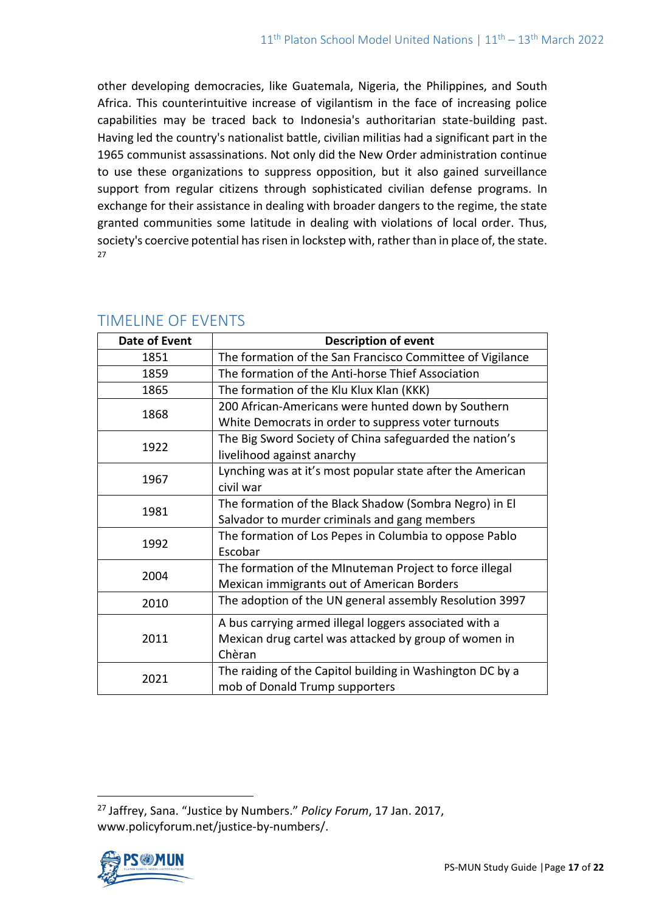other developing democracies, like Guatemala, Nigeria, the Philippines, and South Africa. This counterintuitive increase of vigilantism in the face of increasing police capabilities may be traced back to Indonesia's authoritarian state-building past. Having led the country's nationalist battle, civilian militias had a significant part in the 1965 communist assassinations. Not only did the New Order administration continue to use these organizations to suppress opposition, but it also gained surveillance support from regular citizens through sophisticated civilian defense programs. In exchange for their assistance in dealing with broader dangers to the regime, the state granted communities some latitude in dealing with violations of local order. Thus, society's coercive potential has risen in lockstep with, rather than in place of, the state. 27

| Date of Event | <b>Description of event</b>                                |
|---------------|------------------------------------------------------------|
| 1851          | The formation of the San Francisco Committee of Vigilance  |
| 1859          | The formation of the Anti-horse Thief Association          |
| 1865          | The formation of the Klu Klux Klan (KKK)                   |
| 1868          | 200 African-Americans were hunted down by Southern         |
|               | White Democrats in order to suppress voter turnouts        |
| 1922          | The Big Sword Society of China safeguarded the nation's    |
|               | livelihood against anarchy                                 |
| 1967          | Lynching was at it's most popular state after the American |
|               | civil war                                                  |
| 1981          | The formation of the Black Shadow (Sombra Negro) in El     |
|               | Salvador to murder criminals and gang members              |
| 1992          | The formation of Los Pepes in Columbia to oppose Pablo     |
|               | Escobar                                                    |
| 2004          | The formation of the MInuteman Project to force illegal    |
|               | Mexican immigrants out of American Borders                 |
| 2010          | The adoption of the UN general assembly Resolution 3997    |
| 2011          | A bus carrying armed illegal loggers associated with a     |
|               | Mexican drug cartel was attacked by group of women in      |
|               | Chèran                                                     |
| 2021          | The raiding of the Capitol building in Washington DC by a  |
|               | mob of Donald Trump supporters                             |

# TIMELINE OF EVENTS

<sup>27</sup> Jaffrey, Sana. "Justice by Numbers." *Policy Forum*, 17 Jan. 2017, www.policyforum.net/justice-by-numbers/.

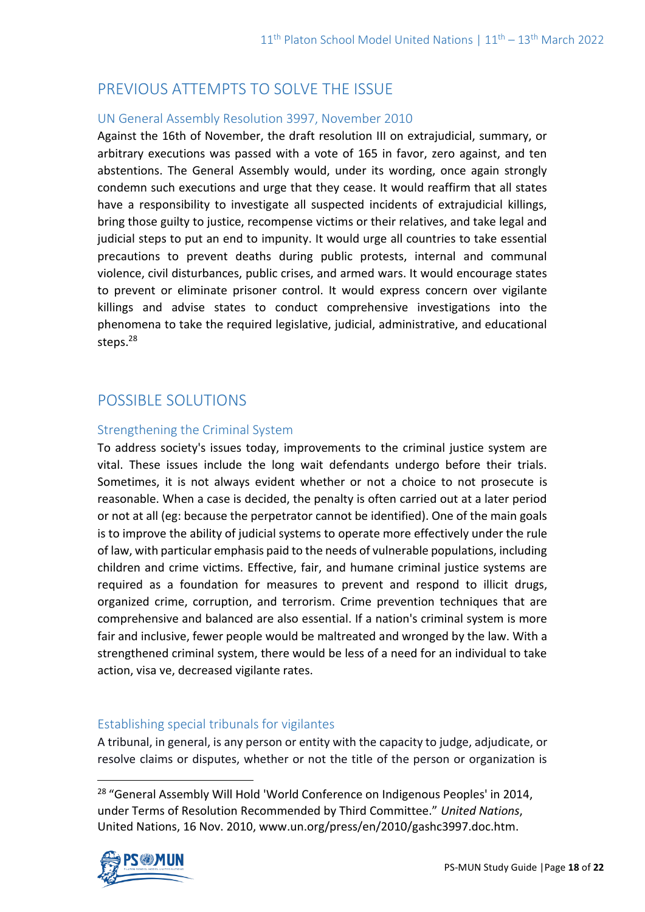# PREVIOUS ATTEMPTS TO SOLVE THE ISSUE

## UN General Assembly Resolution 3997, November 2010

Against the 16th of November, the draft resolution III on extrajudicial, summary, or arbitrary executions was passed with a vote of 165 in favor, zero against, and ten abstentions. The General Assembly would, under its wording, once again strongly condemn such executions and urge that they cease. It would reaffirm that all states have a responsibility to investigate all suspected incidents of extrajudicial killings, bring those guilty to justice, recompense victims or their relatives, and take legal and judicial steps to put an end to impunity. It would urge all countries to take essential precautions to prevent deaths during public protests, internal and communal violence, civil disturbances, public crises, and armed wars. It would encourage states to prevent or eliminate prisoner control. It would express concern over vigilante killings and advise states to conduct comprehensive investigations into the phenomena to take the required legislative, judicial, administrative, and educational steps.<sup>28</sup>

# POSSIBLE SOLUTIONS

## Strengthening the Criminal System

To address society's issues today, improvements to the criminal justice system are vital. These issues include the long wait defendants undergo before their trials. Sometimes, it is not always evident whether or not a choice to not prosecute is reasonable. When a case is decided, the penalty is often carried out at a later period or not at all (eg: because the perpetrator cannot be identified). One of the main goals is to improve the ability of judicial systems to operate more effectively under the rule of law, with particular emphasis paid to the needs of vulnerable populations, including children and crime victims. Effective, fair, and humane criminal justice systems are required as a foundation for measures to prevent and respond to illicit drugs, organized crime, corruption, and terrorism. Crime prevention techniques that are comprehensive and balanced are also essential. If a nation's criminal system is more fair and inclusive, fewer people would be maltreated and wronged by the law. With a strengthened criminal system, there would be less of a need for an individual to take action, visa ve, decreased vigilante rates.

## Establishing special tribunals for vigilantes

A tribunal, in general, is any person or entity with the capacity to judge, adjudicate, or resolve claims or disputes, whether or not the title of the person or organization is

<sup>&</sup>lt;sup>28</sup> "General Assembly Will Hold 'World Conference on Indigenous Peoples' in 2014, under Terms of Resolution Recommended by Third Committee." *United Nations*, United Nations, 16 Nov. 2010, www.un.org/press/en/2010/gashc3997.doc.htm.

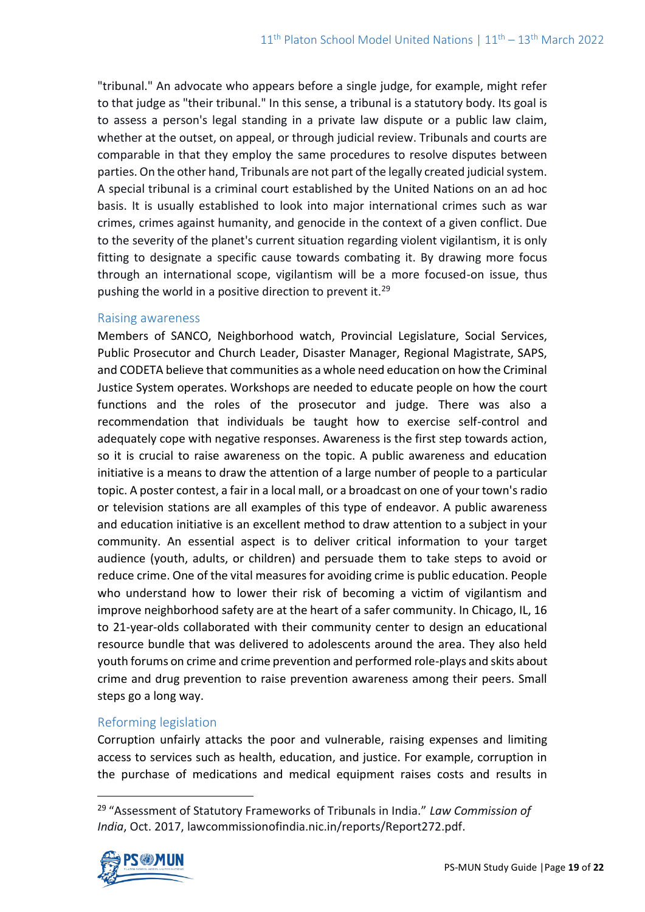"tribunal." An advocate who appears before a single judge, for example, might refer to that judge as "their tribunal." In this sense, a tribunal is a statutory body. Its goal is to assess a person's legal standing in a private law dispute or a public law claim, whether at the outset, on appeal, or through judicial review. Tribunals and courts are comparable in that they employ the same procedures to resolve disputes between parties. On the other hand, Tribunals are not part of the legally created judicial system. A special tribunal is a criminal court established by the United Nations on an ad hoc basis. It is usually established to look into major international crimes such as war crimes, crimes against humanity, and genocide in the context of a given conflict. Due to the severity of the planet's current situation regarding violent vigilantism, it is only fitting to designate a specific cause towards combating it. By drawing more focus through an international scope, vigilantism will be a more focused-on issue, thus pushing the world in a positive direction to prevent it.<sup>29</sup>

## Raising awareness

Members of SANCO, Neighborhood watch, Provincial Legislature, Social Services, Public Prosecutor and Church Leader, Disaster Manager, Regional Magistrate, SAPS, and CODETA believe that communities as a whole need education on how the Criminal Justice System operates. Workshops are needed to educate people on how the court functions and the roles of the prosecutor and judge. There was also a recommendation that individuals be taught how to exercise self-control and adequately cope with negative responses. Awareness is the first step towards action, so it is crucial to raise awareness on the topic. A public awareness and education initiative is a means to draw the attention of a large number of people to a particular topic. A poster contest, a fair in a local mall, or a broadcast on one of your town's radio or television stations are all examples of this type of endeavor. A public awareness and education initiative is an excellent method to draw attention to a subject in your community. An essential aspect is to deliver critical information to your target audience (youth, adults, or children) and persuade them to take steps to avoid or reduce crime. One of the vital measures for avoiding crime is public education. People who understand how to lower their risk of becoming a victim of vigilantism and improve neighborhood safety are at the heart of a safer community. In Chicago, IL, 16 to 21-year-olds collaborated with their community center to design an educational resource bundle that was delivered to adolescents around the area. They also held youth forums on crime and crime prevention and performed role-plays and skits about crime and drug prevention to raise prevention awareness among their peers. Small steps go a long way.

## Reforming legislation

Corruption unfairly attacks the poor and vulnerable, raising expenses and limiting access to services such as health, education, and justice. For example, corruption in the purchase of medications and medical equipment raises costs and results in

<sup>29</sup> "Assessment of Statutory Frameworks of Tribunals in India." *Law Commission of India*, Oct. 2017, lawcommissionofindia.nic.in/reports/Report272.pdf.

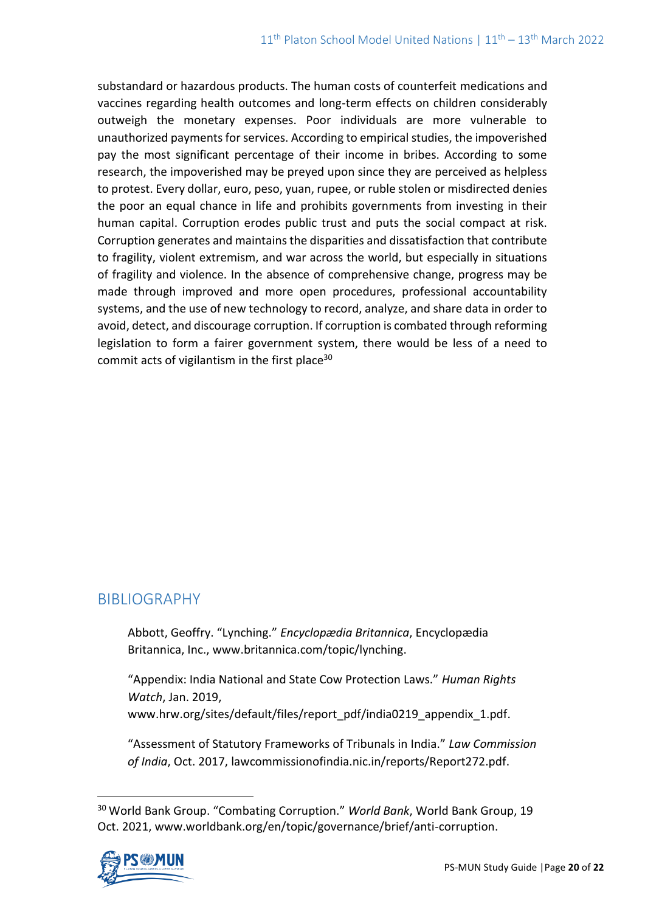substandard or hazardous products. The human costs of counterfeit medications and vaccines regarding health outcomes and long-term effects on children considerably outweigh the monetary expenses. Poor individuals are more vulnerable to unauthorized payments for services. According to empirical studies, the impoverished pay the most significant percentage of their income in bribes. According to some research, the impoverished may be preyed upon since they are perceived as helpless to protest. Every dollar, euro, peso, yuan, rupee, or ruble stolen or misdirected denies the poor an equal chance in life and prohibits governments from investing in their human capital. Corruption erodes public trust and puts the social compact at risk. Corruption generates and maintains the disparities and dissatisfaction that contribute to fragility, violent extremism, and war across the world, but especially in situations of fragility and violence. In the absence of comprehensive change, progress may be made through improved and more open procedures, professional accountability systems, and the use of new technology to record, analyze, and share data in order to avoid, detect, and discourage corruption. If corruption is combated through reforming legislation to form a fairer government system, there would be less of a need to commit acts of vigilantism in the first place<sup>30</sup>

# BIBLIOGRAPHY

Abbott, Geoffry. "Lynching." *Encyclopædia Britannica*, Encyclopædia Britannica, Inc., www.britannica.com/topic/lynching.

"Appendix: India National and State Cow Protection Laws." *Human Rights Watch*, Jan. 2019,

www.hrw.org/sites/default/files/report\_pdf/india0219\_appendix\_1.pdf.

"Assessment of Statutory Frameworks of Tribunals in India." *Law Commission of India*, Oct. 2017, lawcommissionofindia.nic.in/reports/Report272.pdf.

<sup>30</sup> World Bank Group. "Combating Corruption." *World Bank*, World Bank Group, 19 Oct. 2021, www.worldbank.org/en/topic/governance/brief/anti-corruption.

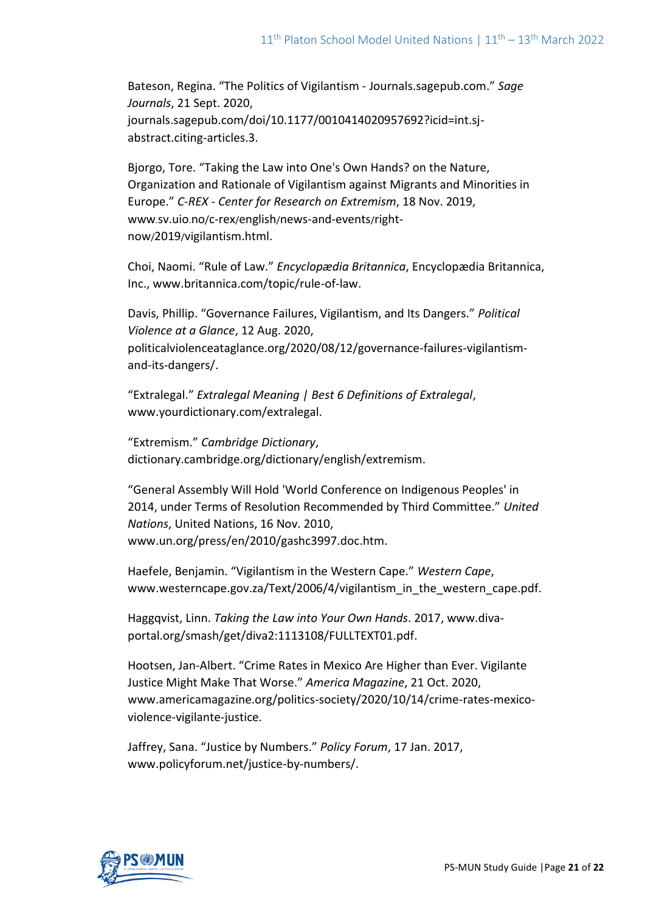Bateson, Regina. "The Politics of Vigilantism - Journals.sagepub.com." *Sage Journals*, 21 Sept. 2020, journals.sagepub.com/doi/10.1177/0010414020957692?icid=int.sjabstract.citing-articles.3.

Bjorgo, Tore. "Taking the Law into One's Own Hands? on the Nature, Organization and Rationale of Vigilantism against Migrants and Minorities in Europe." *C-REX - Center for Research on Extremism*, 18 Nov. 2019, www.sv.uio.no/c-rex/english/news-and-events/rightnow/2019/vigilantism.html.

Choi, Naomi. "Rule of Law." *Encyclopædia Britannica*, Encyclopædia Britannica, Inc., www.britannica.com/topic/rule-of-law.

Davis, Phillip. "Governance Failures, Vigilantism, and Its Dangers." *Political Violence at a Glance*, 12 Aug. 2020, politicalviolenceataglance.org/2020/08/12/governance-failures-vigilantismand-its-dangers/.

"Extralegal." *Extralegal Meaning | Best 6 Definitions of Extralegal*, www.yourdictionary.com/extralegal.

"Extremism." *Cambridge Dictionary*, dictionary.cambridge.org/dictionary/english/extremism.

"General Assembly Will Hold 'World Conference on Indigenous Peoples' in 2014, under Terms of Resolution Recommended by Third Committee." *United Nations*, United Nations, 16 Nov. 2010, www.un.org/press/en/2010/gashc3997.doc.htm.

Haefele, Benjamin. "Vigilantism in the Western Cape." *Western Cape*, www.westerncape.gov.za/Text/2006/4/vigilantism\_in\_the\_western\_cape.pdf.

Haggqvist, Linn. *Taking the Law into Your Own Hands*. 2017, www.divaportal.org/smash/get/diva2:1113108/FULLTEXT01.pdf.

Hootsen, Jan-Albert. "Crime Rates in Mexico Are Higher than Ever. Vigilante Justice Might Make That Worse." *America Magazine*, 21 Oct. 2020, www.americamagazine.org/politics-society/2020/10/14/crime-rates-mexicoviolence-vigilante-justice.

Jaffrey, Sana. "Justice by Numbers." *Policy Forum*, 17 Jan. 2017, www.policyforum.net/justice-by-numbers/.